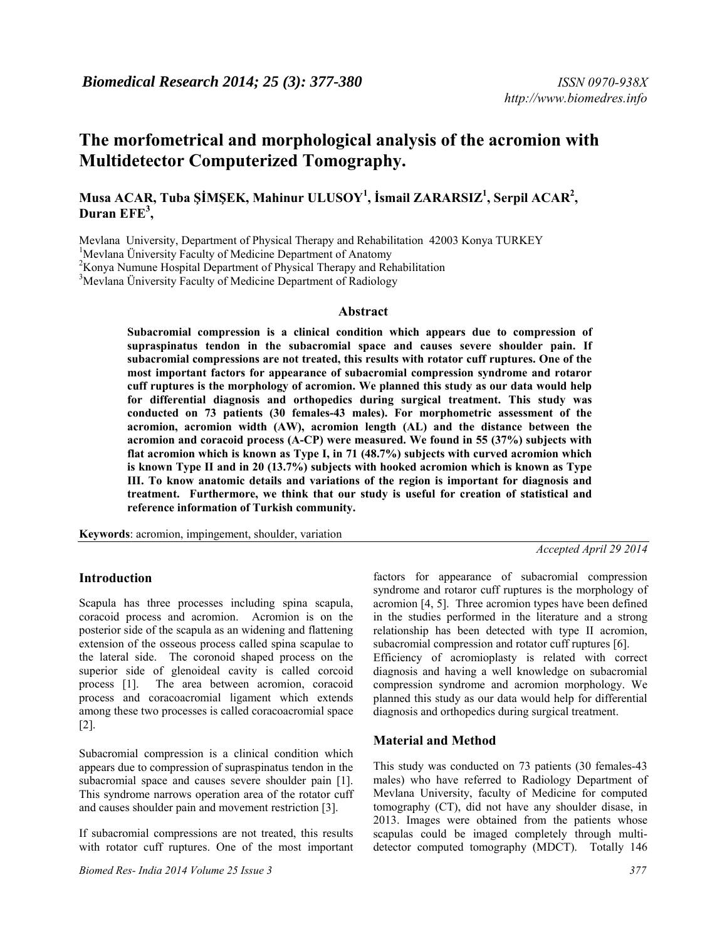# **The morfometrical and morphological analysis of the acromion with Multidetector Computerized Tomography.**

# **Musa ACAR, Tuba ŞİMŞEK, Mahinur ULUSOY<sup>1</sup> , İsmail ZARARSIZ1 , Serpil ACAR2 , Duran EFE<sup>3</sup> ,**

Mevlana University, Department of Physical Therapy and Rehabilitation 42003 Konya TURKEY

<sup>1</sup>Mevlana Üniversity Faculty of Medicine Department of Anatomy  $2V$  any Numung Hespital Department of Physical Therapy and Ref

 $K$ onya Numune Hospital Department of Physical Therapy and Rehabilitation

<sup>3</sup>Mevlana Üniversity Faculty of Medicine Department of Radiology

#### **Abstract**

**Subacromial compression is a clinical condition which appears due to compression of supraspinatus tendon in the subacromial space and causes severe shoulder pain. If subacromial compressions are not treated, this results with rotator cuff ruptures. One of the most important factors for appearance of subacromial compression syndrome and rotaror cuff ruptures is the morphology of acromion. We planned this study as our data would help for differential diagnosis and orthopedics during surgical treatment. This study was conducted on 73 patients (30 females-43 males). For morphometric assessment of the acromion, acromion width (AW), acromion length (AL) and the distance between the acromion and coracoid process (A-CP) were measured. We found in 55 (37%) subjects with flat acromion which is known as Type I, in 71 (48.7%) subjects with curved acromion which is known Type II and in 20 (13.7%) subjects with hooked acromion which is known as Type III. To know anatomic details and variations of the region is important for diagnosis and treatment. Furthermore, we think that our study is useful for creation of statistical and reference information of Turkish community.** 

**Keywords**: acromion, impingement, shoulder, variation

## **Introduction**

Scapula has three processes including spina scapula, coracoid process and acromion. Acromion is on the posterior side of the scapula as an widening and flattening extension of the osseous process called spina scapulae to the lateral side. The coronoid shaped process on the superior side of glenoideal cavity is called corcoid process [1]. The area between acromion, coracoid process and coracoacromial ligament which extends among these two processes is called coracoacromial space [2].

Subacromial compression is a clinical condition which appears due to compression of supraspinatus tendon in the subacromial space and causes severe shoulder pain [1]. This syndrome narrows operation area of the rotator cuff and causes shoulder pain and movement restriction [3].

If subacromial compressions are not treated, this results with rotator cuff ruptures. One of the most important

factors for appearance of subacromial compression syndrome and rotaror cuff ruptures is the morphology of acromion [4, 5]. Three acromion types have been defined in the studies performed in the literature and a strong relationship has been detected with type II acromion, subacromial compression and rotator cuff ruptures [6]. Efficiency of acromioplasty is related with correct

diagnosis and having a well knowledge on subacromial compression syndrome and acromion morphology. We planned this study as our data would help for differential diagnosis and orthopedics during surgical treatment.

#### **Material and Method**

This study was conducted on 73 patients (30 females-43 males) who have referred to Radiology Department of Mevlana University, faculty of Medicine for computed tomography (CT), did not have any shoulder disase, in 2013. Images were obtained from the patients whose scapulas could be imaged completely through multidetector computed tomography (MDCT). Totally 146

*Accepted April 29 2014*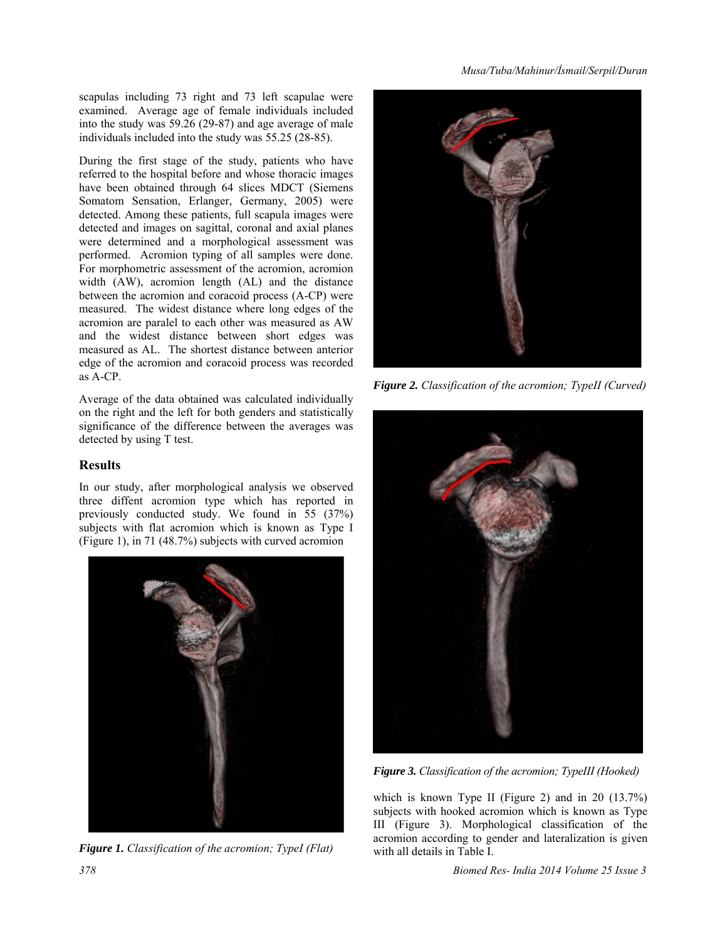*Musa/Tuba/Mahinur/İsmail/Serpil/Duran* 

scapulas including 73 right and 73 left scapulae were examined. Average age of female individuals included into the study was 59.26 (29-87) and age average of male individuals included into the study was 55.25 (28-85).

During the first stage of the study, patients who have referred to the hospital before and whose thoracic images have been obtained through 64 slices MDCT (Siemens Somatom Sensation, Erlanger, Germany, 2005) were detected. Among these patients, full scapula images were detected and images on sagittal, coronal and axial planes were determined and a morphological assessment was performed. Acromion typing of all samples were done. For morphometric assessment of the acromion, acromion width (AW), acromion length (AL) and the distance between the acromion and coracoid process (A-CP) were measured. The widest distance where long edges of the acromion are paralel to each other was measured as AW and the widest distance between short edges was measured as AL. The shortest distance between anterior edge of the acromion and coracoid process was recorded as A-CP.

Average of the data obtained was calculated individually on the right and the left for both genders and statistically significance of the difference between the averages was detected by using T test.

# **Results**

In our study, after morphological analysis we observed three diffent acromion type which has reported in previously conducted study. We found in 55 (37%) subjects with flat acromion which is known as Type I (Figure 1), in 71 (48.7%) subjects with curved acromion







*Figure 2. Classification of the acromion; TypeII (Curved)* 



*Figure 3. Classification of the acromion; TypeIII (Hooked)* 

which is known Type II (Figure 2) and in 20 (13.7%) subjects with hooked acromion which is known as Type III (Figure 3). Morphological classification of the acromion according to gender and lateralization is given with all details in Table I.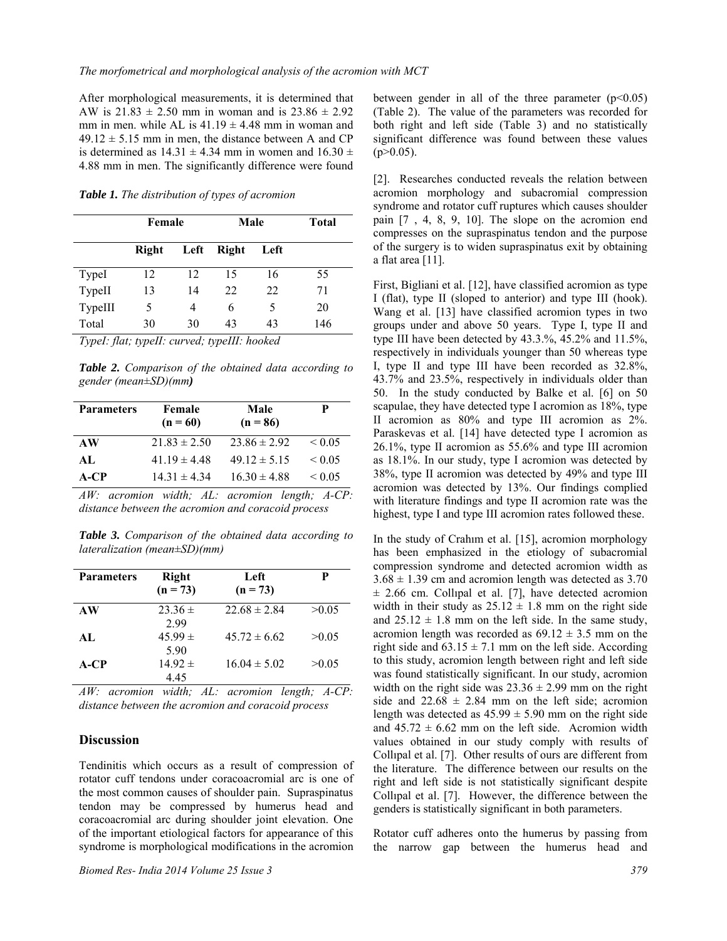After morphological measurements, it is determined that AW is  $21.83 \pm 2.50$  mm in woman and is  $23.86 \pm 2.92$ mm in men. while AL is  $41.19 \pm 4.48$  mm in woman and  $49.12 \pm 5.15$  mm in men, the distance between A and CP is determined as  $14.31 \pm 4.34$  mm in women and  $16.30 \pm$ 4.88 mm in men. The significantly difference were found

*Table 1. The distribution of types of acromion* 

|         | Female |      | Male         |      | <b>Total</b> |
|---------|--------|------|--------------|------|--------------|
|         | Right  | Left | <b>Right</b> | Left |              |
| TypeI   | 12     | 12   | 15           | 16   | 55           |
| TypeII  | 13     | 14   | 22           | 22   | 71           |
| TypeIII | 5      | 4    | 6            | 5    | 20           |
| Total   | 30     | 30   | 43           | 43   | 146          |

*TypeI: flat; typeII: curved; typeIII: hooked* 

*Table 2. Comparison of the obtained data according to gender (mean±SD)(mm)* 

| <b>Parameters</b> | Female<br>$(n = 60)$ | Male<br>$(n = 86)$ | P                |
|-------------------|----------------------|--------------------|------------------|
| AW                | $21.83 \pm 2.50$     | $23.86 \pm 2.92$   | ${}_{0.05}$      |
| AL.               | $41.19 \pm 4.48$     | $49.12 \pm 5.15$   | ${}_{\leq 0.05}$ |
| A-CP              | $14.31 \pm 4.34$     | $16.30 \pm 4.88$   | ${}_{\leq 0.05}$ |

*AW: acromion width; AL: acromion length; A-CP: distance between the acromion and coracoid process* 

*Table 3. Comparison of the obtained data according to lateralization (mean±SD)(mm)* 

| <b>Parameters</b> | Right<br>$(n = 73)$ | Left<br>$(n = 73)$ | P     |
|-------------------|---------------------|--------------------|-------|
| AW                | $23.36 \pm$<br>2.99 | $22.68 \pm 2.84$   | >0.05 |
| AI.               | $45.99 \pm$<br>5.90 | $45.72 \pm 6.62$   | >0.05 |
| A-CP              | $14.92 \pm$<br>4.45 | $16.04 \pm 5.02$   | >0.05 |

*AW: acromion width; AL: acromion length; A-CP: distance between the acromion and coracoid process* 

### **Discussion**

Tendinitis which occurs as a result of compression of rotator cuff tendons under coracoacromial arc is one of the most common causes of shoulder pain. Supraspinatus tendon may be compressed by humerus head and coracoacromial arc during shoulder joint elevation. One of the important etiological factors for appearance of this syndrome is morphological modifications in the acromion

*Biomed Res- India 2014 Volume 25 Issue 3 379*

between gender in all of the three parameter  $(p<0.05)$ (Table 2). The value of the parameters was recorded for both right and left side (Table 3) and no statistically significant difference was found between these values  $(p>0.05)$ .

[2]. Researches conducted reveals the relation between acromion morphology and subacromial compression syndrome and rotator cuff ruptures which causes shoulder pain [7 , 4, 8, 9, 10]. The slope on the acromion end compresses on the supraspinatus tendon and the purpose of the surgery is to widen supraspinatus exit by obtaining a flat area [11].

First, Bigliani et al. [12], have classified acromion as type I (flat), type II (sloped to anterior) and type III (hook). Wang et al. [13] have classified acromion types in two groups under and above 50 years. Type I, type II and type III have been detected by 43.3.%, 45.2% and 11.5%, respectively in individuals younger than 50 whereas type I, type II and type III have been recorded as 32.8%, 43.7% and 23.5%, respectively in individuals older than 50. In the study conducted by Balke et al. [6] on 50 scapulae, they have detected type I acromion as 18%, type II acromion as 80% and type III acromion as 2%. Paraskevas et al. [14] have detected type I acromion as 26.1%, type II acromion as 55.6% and type III acromion as 18.1%. In our study, type I acromion was detected by 38%, type II acromion was detected by 49% and type III acromion was detected by 13%. Our findings complied with literature findings and type II acromion rate was the highest, type I and type III acromion rates followed these.

In the study of Crahım et al. [15], acromion morphology has been emphasized in the etiology of subacromial compression syndrome and detected acromion width as  $3.68 \pm 1.39$  cm and acromion length was detected as 3.70  $\pm$  2.66 cm. Collipal et al. [7], have detected acromion width in their study as  $25.12 \pm 1.8$  mm on the right side and  $25.12 \pm 1.8$  mm on the left side. In the same study, acromion length was recorded as  $69.12 \pm 3.5$  mm on the right side and  $63.15 \pm 7.1$  mm on the left side. According to this study, acromion length between right and left side was found statistically significant. In our study, acromion width on the right side was  $23.36 \pm 2.99$  mm on the right side and  $22.68 \pm 2.84$  mm on the left side; acromion length was detected as  $45.99 \pm 5.90$  mm on the right side and  $45.72 \pm 6.62$  mm on the left side. Acromion width values obtained in our study comply with results of Collıpal et al. [7]. Other results of ours are different from the literature. The difference between our results on the right and left side is not statistically significant despite Collıpal et al. [7]. However, the difference between the genders is statistically significant in both parameters.

Rotator cuff adheres onto the humerus by passing from the narrow gap between the humerus head and